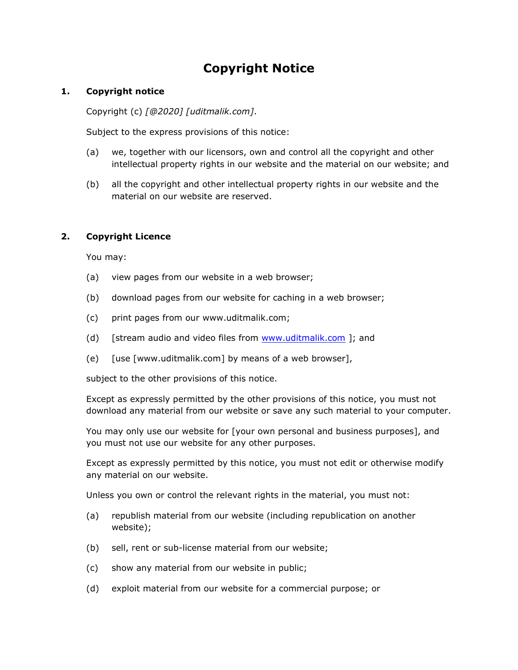# **Copyright Notice**

#### **1. Copyright notice**

Copyright (c) *[@2020] [uditmalik.com]*.

Subject to the express provisions of this notice:

- (a) we, together with our licensors, own and control all the copyright and other intellectual property rights in our website and the material on our website; and
- (b) all the copyright and other intellectual property rights in our website and the material on our website are reserved.

# **2. Copyright Licence**

You may:

- (a) view pages from our website in a web browser;
- (b) download pages from our website for caching in a web browser;
- (c) print pages from our www.uditmalik.com;
- (d) [stream audio and video files from [www.uditmalik.com](http://www.uditmalik.com/) ]; and
- (e)  $[use [www.uditmalik.com] by means of a web browser]$ ,

subject to the other provisions of this notice.

Except as expressly permitted by the other provisions of this notice, you must not download any material from our website or save any such material to your computer.

You may only use our website for [your own personal and business purposes], and you must not use our website for any other purposes.

Except as expressly permitted by this notice, you must not edit or otherwise modify any material on our website.

Unless you own or control the relevant rights in the material, you must not:

- (a) republish material from our website (including republication on another website);
- (b) sell, rent or sub-license material from our website;
- (c) show any material from our website in public;
- (d) exploit material from our website for a commercial purpose; or